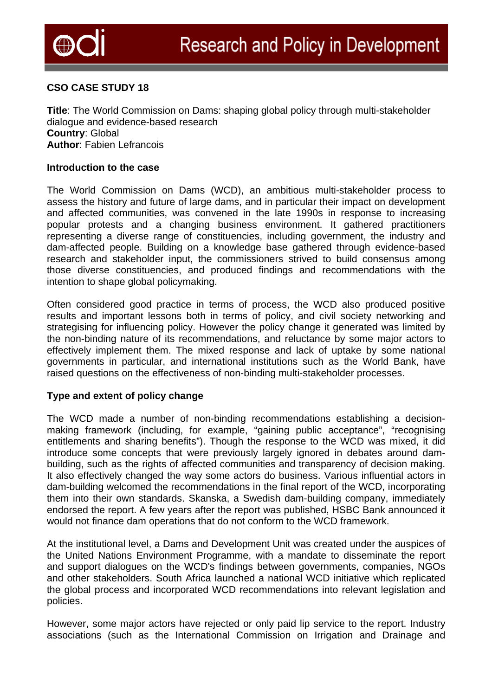

# **CSO CASE STUDY 18**

**Title**: The World Commission on Dams: shaping global policy through multi-stakeholder dialogue and evidence-based research **Country**: Global **Author**: Fabien Lefrancois

### **Introduction to the case**

The World Commission on Dams (WCD), an ambitious multi-stakeholder process to assess the history and future of large dams, and in particular their impact on development and affected communities, was convened in the late 1990s in response to increasing popular protests and a changing business environment. It gathered practitioners representing a diverse range of constituencies, including government, the industry and dam-affected people. Building on a knowledge base gathered through evidence-based research and stakeholder input, the commissioners strived to build consensus among those diverse constituencies, and produced findings and recommendations with the intention to shape global policymaking.

Often considered good practice in terms of process, the WCD also produced positive results and important lessons both in terms of policy, and civil society networking and strategising for influencing policy. However the policy change it generated was limited by the non-binding nature of its recommendations, and reluctance by some major actors to effectively implement them. The mixed response and lack of uptake by some national governments in particular, and international institutions such as the World Bank, have raised questions on the effectiveness of non-binding multi-stakeholder processes.

### **Type and extent of policy change**

The WCD made a number of non-binding recommendations establishing a decisionmaking framework (including, for example, "gaining public acceptance", "recognising entitlements and sharing benefits"). Though the response to the WCD was mixed, it did introduce some concepts that were previously largely ignored in debates around dambuilding, such as the rights of affected communities and transparency of decision making. It also effectively changed the way some actors do business. Various influential actors in dam-building welcomed the recommendations in the final report of the WCD, incorporating them into their own standards. Skanska, a Swedish dam-building company, immediately endorsed the report. A few years after the report was published, HSBC Bank announced it would not finance dam operations that do not conform to the WCD framework.

At the institutional level, a Dams and Development Unit was created under the auspices of the United Nations Environment Programme, with a mandate to disseminate the report and support dialogues on the WCD's findings between governments, companies, NGOs and other stakeholders. South Africa launched a national WCD initiative which replicated the global process and incorporated WCD recommendations into relevant legislation and policies.

However, some major actors have rejected or only paid lip service to the report. Industry associations (such as the International Commission on Irrigation and Drainage and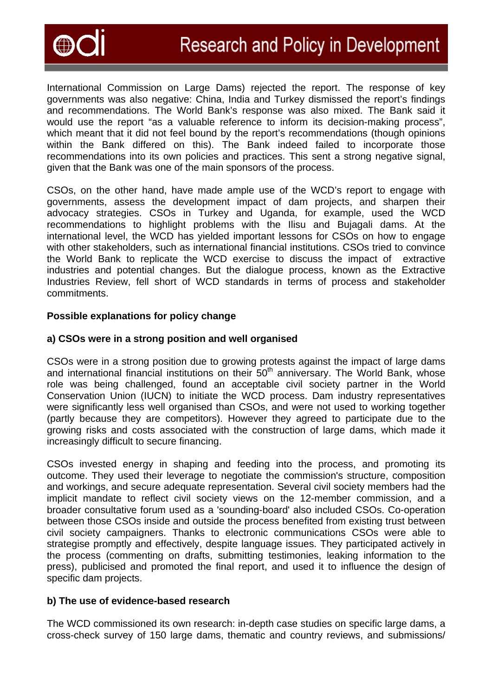

International Commission on Large Dams) rejected the report. The response of key governments was also negative: China, India and Turkey dismissed the report's findings and recommendations. The World Bank's response was also mixed. The Bank said it would use the report "as a valuable reference to inform its decision-making process", which meant that it did not feel bound by the report's recommendations (though opinions within the Bank differed on this). The Bank indeed failed to incorporate those recommendations into its own policies and practices. This sent a strong negative signal, given that the Bank was one of the main sponsors of the process.

CSOs, on the other hand, have made ample use of the WCD's report to engage with governments, assess the development impact of dam projects, and sharpen their advocacy strategies. CSOs in Turkey and Uganda, for example, used the WCD recommendations to highlight problems with the Ilisu and Bujagali dams. At the international level, the WCD has yielded important lessons for CSOs on how to engage with other stakeholders, such as international financial institutions. CSOs tried to convince the World Bank to replicate the WCD exercise to discuss the impact of extractive industries and potential changes. But the dialogue process, known as the Extractive Industries Review, fell short of WCD standards in terms of process and stakeholder commitments.

### **Possible explanations for policy change**

# **a) CSOs were in a strong position and well organised**

CSOs were in a strong position due to growing protests against the impact of large dams and international financial institutions on their  $50<sup>th</sup>$  anniversary. The World Bank, whose role was being challenged, found an acceptable civil society partner in the World Conservation Union (IUCN) to initiate the WCD process. Dam industry representatives were significantly less well organised than CSOs, and were not used to working together (partly because they are competitors). However they agreed to participate due to the growing risks and costs associated with the construction of large dams, which made it increasingly difficult to secure financing.

CSOs invested energy in shaping and feeding into the process, and promoting its outcome. They used their leverage to negotiate the commission's structure, composition and workings, and secure adequate representation. Several civil society members had the implicit mandate to reflect civil society views on the 12-member commission, and a broader consultative forum used as a 'sounding-board' also included CSOs. Co-operation between those CSOs inside and outside the process benefited from existing trust between civil society campaigners. Thanks to electronic communications CSOs were able to strategise promptly and effectively, despite language issues. They participated actively in the process (commenting on drafts, submitting testimonies, leaking information to the press), publicised and promoted the final report, and used it to influence the design of specific dam projects.

# **b) The use of evidence-based research**

The WCD commissioned its own research: in-depth case studies on specific large dams, a cross-check survey of 150 large dams, thematic and country reviews, and submissions/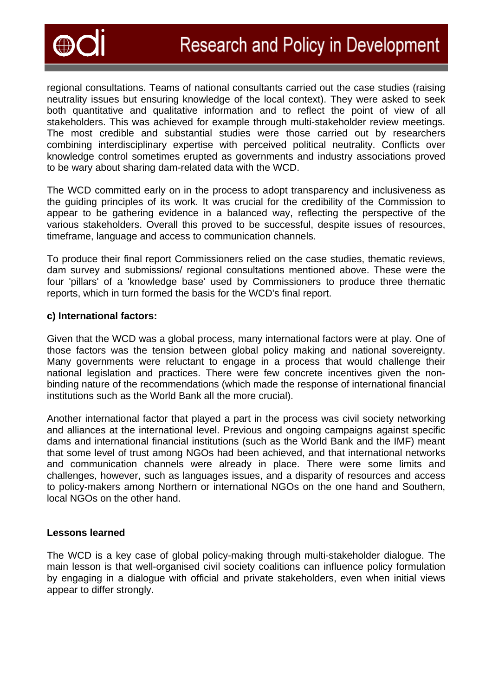

regional consultations. Teams of national consultants carried out the case studies (raising neutrality issues but ensuring knowledge of the local context). They were asked to seek both quantitative and qualitative information and to reflect the point of view of all stakeholders. This was achieved for example through multi-stakeholder review meetings. The most credible and substantial studies were those carried out by researchers combining interdisciplinary expertise with perceived political neutrality. Conflicts over knowledge control sometimes erupted as governments and industry associations proved to be wary about sharing dam-related data with the WCD.

The WCD committed early on in the process to adopt transparency and inclusiveness as the guiding principles of its work. It was crucial for the credibility of the Commission to appear to be gathering evidence in a balanced way, reflecting the perspective of the various stakeholders. Overall this proved to be successful, despite issues of resources, timeframe, language and access to communication channels.

To produce their final report Commissioners relied on the case studies, thematic reviews, dam survey and submissions/ regional consultations mentioned above. These were the four 'pillars' of a 'knowledge base' used by Commissioners to produce three thematic reports, which in turn formed the basis for the WCD's final report.

### **c) International factors:**

Given that the WCD was a global process, many international factors were at play. One of those factors was the tension between global policy making and national sovereignty. Many governments were reluctant to engage in a process that would challenge their national legislation and practices. There were few concrete incentives given the nonbinding nature of the recommendations (which made the response of international financial institutions such as the World Bank all the more crucial).

Another international factor that played a part in the process was civil society networking and alliances at the international level. Previous and ongoing campaigns against specific dams and international financial institutions (such as the World Bank and the IMF) meant that some level of trust among NGOs had been achieved, and that international networks and communication channels were already in place. There were some limits and challenges, however, such as languages issues, and a disparity of resources and access to policy-makers among Northern or international NGOs on the one hand and Southern, local NGOs on the other hand.

### **Lessons learned**

The WCD is a key case of global policy-making through multi-stakeholder dialogue. The main lesson is that well-organised civil society coalitions can influence policy formulation by engaging in a dialogue with official and private stakeholders, even when initial views appear to differ strongly.